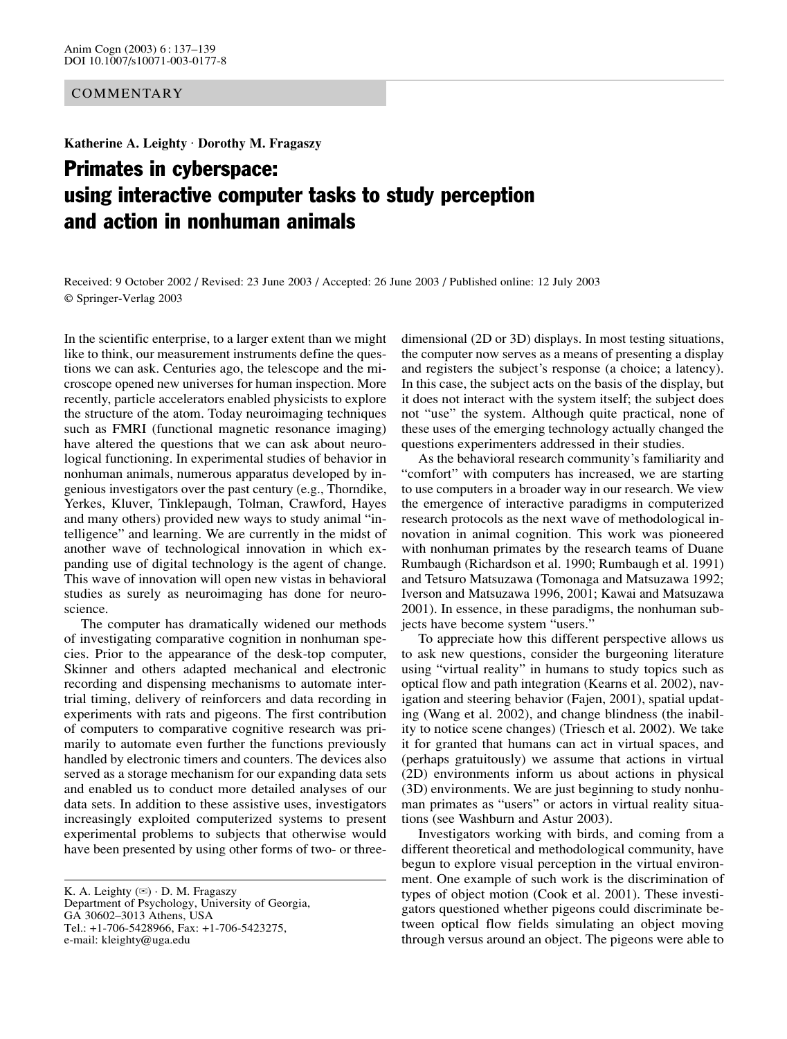## COMMENTARY

**Katherine A. Leighty · Dorothy M. Fragaszy**

## Primates in cyberspace: using interactive computer tasks to study perception and action in nonhuman animals

Received: 9 October 2002 / Revised: 23 June 2003 / Accepted: 26 June 2003 / Published online: 12 July 2003 © Springer-Verlag 2003

In the scientific enterprise, to a larger extent than we might like to think, our measurement instruments define the questions we can ask. Centuries ago, the telescope and the microscope opened new universes for human inspection. More recently, particle accelerators enabled physicists to explore the structure of the atom. Today neuroimaging techniques such as FMRI (functional magnetic resonance imaging) have altered the questions that we can ask about neurological functioning. In experimental studies of behavior in nonhuman animals, numerous apparatus developed by ingenious investigators over the past century (e.g., Thorndike, Yerkes, Kluver, Tinklepaugh, Tolman, Crawford, Hayes and many others) provided new ways to study animal "intelligence" and learning. We are currently in the midst of another wave of technological innovation in which expanding use of digital technology is the agent of change. This wave of innovation will open new vistas in behavioral studies as surely as neuroimaging has done for neuroscience.

The computer has dramatically widened our methods of investigating comparative cognition in nonhuman species. Prior to the appearance of the desk-top computer, Skinner and others adapted mechanical and electronic recording and dispensing mechanisms to automate intertrial timing, delivery of reinforcers and data recording in experiments with rats and pigeons. The first contribution of computers to comparative cognitive research was primarily to automate even further the functions previously handled by electronic timers and counters. The devices also served as a storage mechanism for our expanding data sets and enabled us to conduct more detailed analyses of our data sets. In addition to these assistive uses, investigators increasingly exploited computerized systems to present experimental problems to subjects that otherwise would have been presented by using other forms of two- or three-

K. A. Leighty  $(\mathbb{Z}) \cdot D$ . M. Fragaszy Department of Psychology, University of Georgia, GA 30602–3013 Athens, USA Tel.: +1-706-5428966, Fax: +1-706-5423275, e-mail: kleighty@uga.edu

dimensional (2D or 3D) displays. In most testing situations, the computer now serves as a means of presenting a display and registers the subject's response (a choice; a latency). In this case, the subject acts on the basis of the display, but it does not interact with the system itself; the subject does not "use" the system. Although quite practical, none of these uses of the emerging technology actually changed the questions experimenters addressed in their studies.

As the behavioral research community's familiarity and "comfort" with computers has increased, we are starting to use computers in a broader way in our research. We view the emergence of interactive paradigms in computerized research protocols as the next wave of methodological innovation in animal cognition. This work was pioneered with nonhuman primates by the research teams of Duane Rumbaugh (Richardson et al. 1990; Rumbaugh et al. 1991) and Tetsuro Matsuzawa (Tomonaga and Matsuzawa 1992; Iverson and Matsuzawa 1996, 2001; Kawai and Matsuzawa 2001). In essence, in these paradigms, the nonhuman subjects have become system "users."

To appreciate how this different perspective allows us to ask new questions, consider the burgeoning literature using "virtual reality" in humans to study topics such as optical flow and path integration (Kearns et al. 2002), navigation and steering behavior (Fajen, 2001), spatial updating (Wang et al. 2002), and change blindness (the inability to notice scene changes) (Triesch et al. 2002). We take it for granted that humans can act in virtual spaces, and (perhaps gratuitously) we assume that actions in virtual (2D) environments inform us about actions in physical (3D) environments. We are just beginning to study nonhuman primates as "users" or actors in virtual reality situations (see Washburn and Astur 2003).

Investigators working with birds, and coming from a different theoretical and methodological community, have begun to explore visual perception in the virtual environment. One example of such work is the discrimination of types of object motion (Cook et al. 2001). These investigators questioned whether pigeons could discriminate between optical flow fields simulating an object moving through versus around an object. The pigeons were able to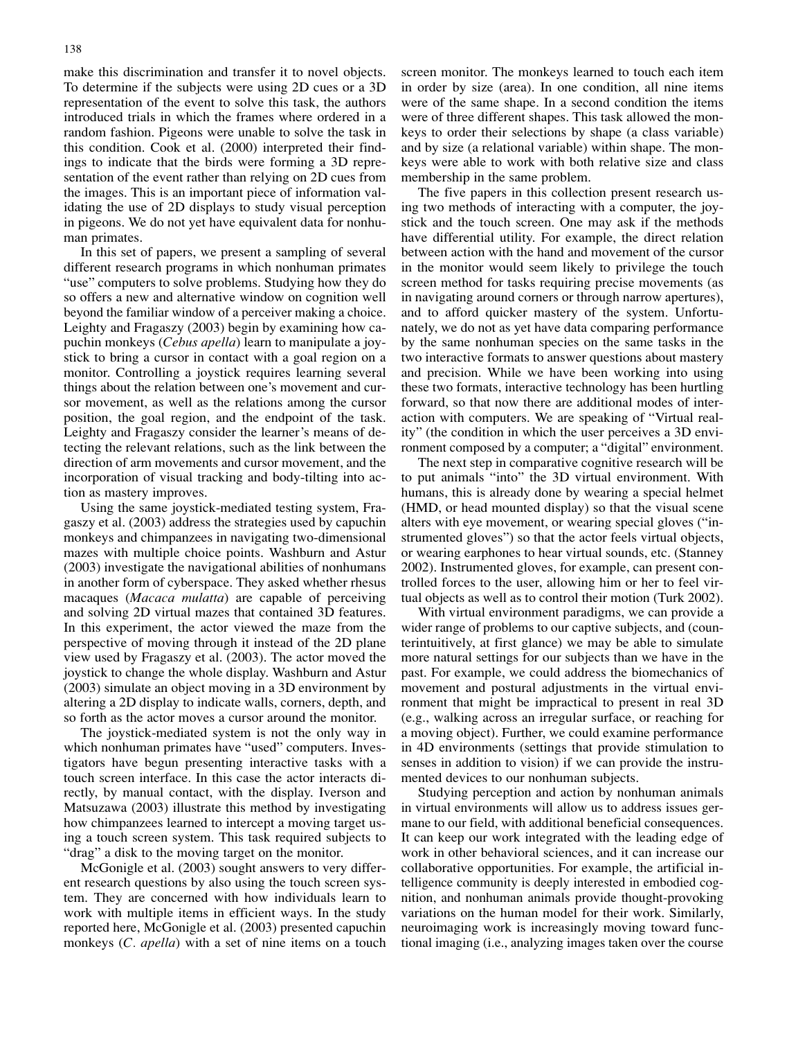make this discrimination and transfer it to novel objects. To determine if the subjects were using 2D cues or a 3D representation of the event to solve this task, the authors introduced trials in which the frames where ordered in a random fashion. Pigeons were unable to solve the task in this condition. Cook et al. (2000) interpreted their findings to indicate that the birds were forming a 3D representation of the event rather than relying on 2D cues from the images. This is an important piece of information validating the use of 2D displays to study visual perception in pigeons. We do not yet have equivalent data for nonhuman primates.

In this set of papers, we present a sampling of several different research programs in which nonhuman primates "use" computers to solve problems. Studying how they do so offers a new and alternative window on cognition well beyond the familiar window of a perceiver making a choice. Leighty and Fragaszy (2003) begin by examining how capuchin monkeys (*Cebus apella*) learn to manipulate a joystick to bring a cursor in contact with a goal region on a monitor. Controlling a joystick requires learning several things about the relation between one's movement and cursor movement, as well as the relations among the cursor position, the goal region, and the endpoint of the task. Leighty and Fragaszy consider the learner's means of detecting the relevant relations, such as the link between the direction of arm movements and cursor movement, and the incorporation of visual tracking and body-tilting into action as mastery improves.

Using the same joystick-mediated testing system, Fragaszy et al. (2003) address the strategies used by capuchin monkeys and chimpanzees in navigating two-dimensional mazes with multiple choice points. Washburn and Astur (2003) investigate the navigational abilities of nonhumans in another form of cyberspace. They asked whether rhesus macaques (*Macaca mulatta*) are capable of perceiving and solving 2D virtual mazes that contained 3D features. In this experiment, the actor viewed the maze from the perspective of moving through it instead of the 2D plane view used by Fragaszy et al. (2003). The actor moved the joystick to change the whole display. Washburn and Astur (2003) simulate an object moving in a 3D environment by altering a 2D display to indicate walls, corners, depth, and so forth as the actor moves a cursor around the monitor.

The joystick-mediated system is not the only way in which nonhuman primates have "used" computers. Investigators have begun presenting interactive tasks with a touch screen interface. In this case the actor interacts directly, by manual contact, with the display. Iverson and Matsuzawa (2003) illustrate this method by investigating how chimpanzees learned to intercept a moving target using a touch screen system. This task required subjects to "drag" a disk to the moving target on the monitor.

McGonigle et al. (2003) sought answers to very different research questions by also using the touch screen system. They are concerned with how individuals learn to work with multiple items in efficient ways. In the study reported here, McGonigle et al. (2003) presented capuchin monkeys (*C. apella*) with a set of nine items on a touch

screen monitor. The monkeys learned to touch each item in order by size (area). In one condition, all nine items were of the same shape. In a second condition the items were of three different shapes. This task allowed the monkeys to order their selections by shape (a class variable) and by size (a relational variable) within shape. The monkeys were able to work with both relative size and class membership in the same problem.

The five papers in this collection present research using two methods of interacting with a computer, the joystick and the touch screen. One may ask if the methods have differential utility. For example, the direct relation between action with the hand and movement of the cursor in the monitor would seem likely to privilege the touch screen method for tasks requiring precise movements (as in navigating around corners or through narrow apertures), and to afford quicker mastery of the system. Unfortunately, we do not as yet have data comparing performance by the same nonhuman species on the same tasks in the two interactive formats to answer questions about mastery and precision. While we have been working into using these two formats, interactive technology has been hurtling forward, so that now there are additional modes of interaction with computers. We are speaking of "Virtual reality" (the condition in which the user perceives a 3D environment composed by a computer; a "digital" environment.

The next step in comparative cognitive research will be to put animals "into" the 3D virtual environment. With humans, this is already done by wearing a special helmet (HMD, or head mounted display) so that the visual scene alters with eye movement, or wearing special gloves ("instrumented gloves") so that the actor feels virtual objects, or wearing earphones to hear virtual sounds, etc. (Stanney 2002). Instrumented gloves, for example, can present controlled forces to the user, allowing him or her to feel virtual objects as well as to control their motion (Turk 2002).

With virtual environment paradigms, we can provide a wider range of problems to our captive subjects, and (counterintuitively, at first glance) we may be able to simulate more natural settings for our subjects than we have in the past. For example, we could address the biomechanics of movement and postural adjustments in the virtual environment that might be impractical to present in real 3D (e.g., walking across an irregular surface, or reaching for a moving object). Further, we could examine performance in 4D environments (settings that provide stimulation to senses in addition to vision) if we can provide the instrumented devices to our nonhuman subjects.

Studying perception and action by nonhuman animals in virtual environments will allow us to address issues germane to our field, with additional beneficial consequences. It can keep our work integrated with the leading edge of work in other behavioral sciences, and it can increase our collaborative opportunities. For example, the artificial intelligence community is deeply interested in embodied cognition, and nonhuman animals provide thought-provoking variations on the human model for their work. Similarly, neuroimaging work is increasingly moving toward functional imaging (i.e., analyzing images taken over the course